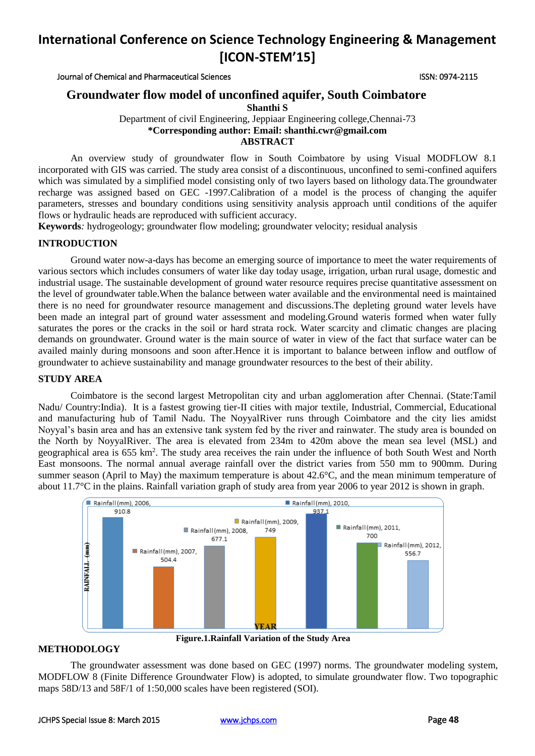Journal of Chemical and Pharmaceutical Sciences ISSN: 0974-2115

## **Groundwater flow model of unconfined aquifer, South Coimbatore**

**Shanthi S** 

Department of civil Engineering, Jeppiaar Engineering college,Chennai-73 **\*Corresponding author: Email: shanthi.cwr@gmail.com ABSTRACT**

An overview study of groundwater flow in South Coimbatore by using Visual MODFLOW 8.1 incorporated with GIS was carried. The study area consist of a discontinuous, unconfined to semi-confined aquifers which was simulated by a simplified model consisting only of two layers based on lithology data.The groundwater recharge was assigned based on GEC -1997.Calibration of a model is the process of changing the aquifer parameters, stresses and boundary conditions using sensitivity analysis approach until conditions of the aquifer flows or hydraulic heads are reproduced with sufficient accuracy.

**Keywords***:* hydrogeology; groundwater flow modeling; groundwater velocity; residual analysis

### **INTRODUCTION**

Ground water now-a-days has become an emerging source of importance to meet the water requirements of various sectors which includes consumers of water like day today usage, irrigation, urban rural usage, domestic and industrial usage. The sustainable development of ground water resource requires precise quantitative assessment on the level of groundwater table.When the balance between water available and the environmental need is maintained there is no need for groundwater resource management and discussions.The depleting ground water levels have been made an integral part of ground water assessment and modeling.Ground wateris formed when water fully saturates the pores or the cracks in the soil or hard strata rock. Water scarcity and climatic changes are placing demands on groundwater. Ground water is the main source of water in view of the fact that surface water can be availed mainly during monsoons and soon after.Hence it is important to balance between inflow and outflow of groundwater to achieve sustainability and manage groundwater resources to the best of their ability.

### **STUDY AREA**

Coimbatore is the second largest Metropolitan city and urban agglomeration after Chennai. (State:Tamil Nadu/ Country:India). It is a fastest growing tier-II cities with major textile, Industrial, Commercial, Educational and manufacturing hub of Tamil Nadu. The NoyyalRiver runs through Coimbatore and the city lies amidst Noyyal's basin area and has an extensive tank system fed by the river and rainwater. The study area is bounded on the North by NoyyalRiver. The area is elevated from 234m to 420m above the mean sea level (MSL) and geographical area is 655 km<sup>2</sup>. The study area receives the rain under the influence of both South West and North East monsoons. The normal annual average rainfall over the district varies from 550 mm to 900mm. During summer season (April to May) the maximum temperature is about 42.6°C, and the mean minimum temperature of about 11.7°C in the plains. Rainfall variation graph of study area from year 2006 to year 2012 is shown in graph.



**Figure.1.Rainfall Variation of the Study Area**

### **METHODOLOGY**

The groundwater assessment was done based on GEC (1997) norms. The groundwater modeling system, MODFLOW 8 (Finite Difference Groundwater Flow) is adopted, to simulate groundwater flow. Two topographic maps 58D/13 and 58F/1 of 1:50,000 scales have been registered (SOI).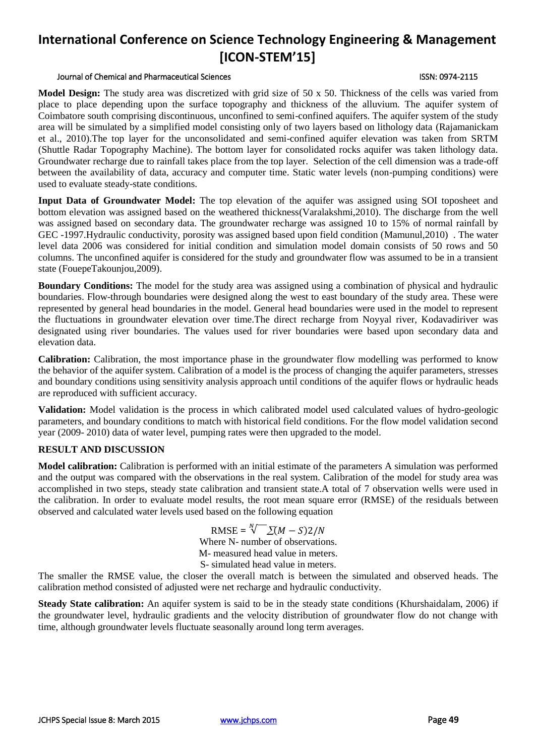### Journal of Chemical and Pharmaceutical Sciences ISSN: 0974-2115

**Model Design:** The study area was discretized with grid size of 50 x 50. Thickness of the cells was varied from place to place depending upon the surface topography and thickness of the alluvium. The aquifer system of Coimbatore south comprising discontinuous, unconfined to semi-confined aquifers. The aquifer system of the study area will be simulated by a simplified model consisting only of two layers based on lithology data (Rajamanickam et al., 2010).The top layer for the unconsolidated and semi-confined aquifer elevation was taken from SRTM (Shuttle Radar Topography Machine). The bottom layer for consolidated rocks aquifer was taken lithology data. Groundwater recharge due to rainfall takes place from the top layer. Selection of the cell dimension was a trade-off between the availability of data, accuracy and computer time. Static water levels (non-pumping conditions) were used to evaluate steady-state conditions.

**Input Data of Groundwater Model:** The top elevation of the aquifer was assigned using SOI toposheet and bottom elevation was assigned based on the weathered thickness(Varalakshmi,2010). The discharge from the well was assigned based on secondary data. The groundwater recharge was assigned 10 to 15% of normal rainfall by GEC -1997.Hydraulic conductivity, porosity was assigned based upon field condition (Mamunul,2010) . The water level data 2006 was considered for initial condition and simulation model domain consists of 50 rows and 50 columns. The unconfined aquifer is considered for the study and groundwater flow was assumed to be in a transient state (FouepeTakounjou,2009).

**Boundary Conditions:** The model for the study area was assigned using a combination of physical and hydraulic boundaries. Flow-through boundaries were designed along the west to east boundary of the study area. These were represented by general head boundaries in the model. General head boundaries were used in the model to represent the fluctuations in groundwater elevation over time.The direct recharge from Noyyal river, Kodavadiriver was designated using river boundaries. The values used for river boundaries were based upon secondary data and elevation data.

**Calibration:** Calibration, the most importance phase in the groundwater flow modelling was performed to know the behavior of the aquifer system. Calibration of a model is the process of changing the aquifer parameters, stresses and boundary conditions using sensitivity analysis approach until conditions of the aquifer flows or hydraulic heads are reproduced with sufficient accuracy.

**Validation:** Model validation is the process in which calibrated model used calculated values of hydro-geologic parameters, and boundary conditions to match with historical field conditions. For the flow model validation second year (2009- 2010) data of water level, pumping rates were then upgraded to the model.

### **RESULT AND DISCUSSION**

**Model calibration:** Calibration is performed with an initial estimate of the parameters A simulation was performed and the output was compared with the observations in the real system. Calibration of the model for study area was accomplished in two steps, steady state calibration and transient state.A total of 7 observation wells were used in the calibration. In order to evaluate model results, the root mean square error (RMSE) of the residuals between observed and calculated water levels used based on the following equation

> $RMSE = \sqrt[N]{\sum (M - S)2/N}$ Where N- number of observations. M- measured head value in meters. S- simulated head value in meters.

The smaller the RMSE value, the closer the overall match is between the simulated and observed heads. The calibration method consisted of adjusted were net recharge and hydraulic conductivity.

**Steady State calibration:** An aquifer system is said to be in the steady state conditions (Khurshaidalam, 2006) if the groundwater level, hydraulic gradients and the velocity distribution of groundwater flow do not change with time, although groundwater levels fluctuate seasonally around long term averages.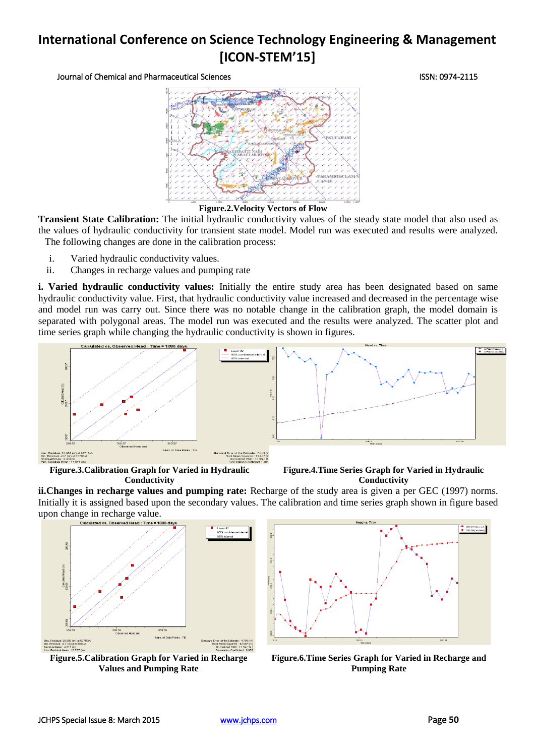Journal of Chemical and Pharmaceutical Sciences ISSN: 0974-2115



**Figure.2.Velocity Vectors of Flow**

**Transient State Calibration:** The initial hydraulic conductivity values of the steady state model that also used as the values of hydraulic conductivity for transient state model. Model run was executed and results were analyzed. The following changes are done in the calibration process:

- i. Varied hydraulic conductivity values.
- ii. Changes in recharge values and pumping rate

**i. Varied hydraulic conductivity values:** Initially the entire study area has been designated based on same hydraulic conductivity value. First, that hydraulic conductivity value increased and decreased in the percentage wise and model run was carry out. Since there was no notable change in the calibration graph, the model domain is separated with polygonal areas. The model run was executed and the results were analyzed. The scatter plot and time series graph while changing the hydraulic conductivity is shown in figures.



**Figure.3.Calibration Graph for Varied in Hydraulic Conductivity**



**ii.Changes in recharge values and pumping rate:** Recharge of the study area is given a per GEC (1997) norms. Initially it is assigned based upon the secondary values. The calibration and time series graph shown in figure based upon change in recharge value.



**Figure.5.Calibration Graph for Varied in Recharge Values and Pumping Rate**



**Figure.6.Time Series Graph for Varied in Recharge and Pumping Rate**